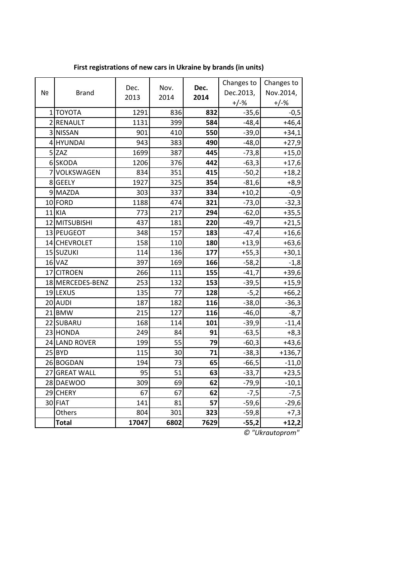| Nº | <b>Brand</b>     |       |      |      | Changes to | Changes to |
|----|------------------|-------|------|------|------------|------------|
|    |                  | Dec.  | Nov. | Dec. | Dec.2013,  | Nov.2014,  |
|    |                  | 2013  | 2014 | 2014 | $+/-%$     | $+/-%$     |
|    | 1 ΤΟΥΟΤΑ         | 1291  | 836  | 832  | $-35,6$    | $-0,5$     |
|    | 2 RENAULT        | 1131  | 399  | 584  | $-48,4$    | $+46,4$    |
|    | 3 NISSAN         | 901   | 410  | 550  | $-39,0$    | $+34,1$    |
|    | 4 HYUNDAI        | 943   | 383  | 490  | $-48,0$    | $+27,9$    |
|    | $5$ ZAZ          | 1699  | 387  | 445  | $-73,8$    | $+15,0$    |
|    | 6SKODA           | 1206  | 376  | 442  | $-63,3$    | $+17,6$    |
|    | 7 VOLKSWAGEN     | 834   | 351  | 415  | $-50,2$    | $+18,2$    |
|    | 8 GEELY          | 1927  | 325  | 354  | $-81,6$    | $+8,9$     |
|    | 9 MAZDA          | 303   | 337  | 334  | $+10,2$    | $-0,9$     |
|    | 10 FORD          | 1188  | 474  | 321  | $-73,0$    | $-32,3$    |
|    | $11$ KIA         | 773   | 217  | 294  | $-62,0$    | $+35,5$    |
|    | 12 MITSUBISHI    | 437   | 181  | 220  | $-49,7$    | $+21,5$    |
|    | 13 PEUGEOT       | 348   | 157  | 183  | $-47,4$    | $+16,6$    |
|    | 14 CHEVROLET     | 158   | 110  | 180  | $+13,9$    | $+63,6$    |
|    | 15 SUZUKI        | 114   | 136  | 177  | $+55,3$    | $+30,1$    |
|    | $16$ VAZ         | 397   | 169  | 166  | $-58,2$    | $-1,8$     |
|    | 17 CITROEN       | 266   | 111  | 155  | $-41,7$    | $+39,6$    |
|    | 18 MERCEDES-BENZ | 253   | 132  | 153  | $-39,5$    | $+15,9$    |
|    | 19 LEXUS         | 135   | 77   | 128  | $-5,2$     | $+66,2$    |
|    | 20 AUDI          | 187   | 182  | 116  | $-38,0$    | $-36,3$    |
|    | $21$ BMW         | 215   | 127  | 116  | $-46,0$    | $-8,7$     |
|    | 22 SUBARU        | 168   | 114  | 101  | $-39,9$    | $-11,4$    |
|    | 23 HONDA         | 249   | 84   | 91   | $-63,5$    | $+8,3$     |
|    | 24 LAND ROVER    | 199   | 55   | 79   | $-60,3$    | $+43,6$    |
|    | $25$ BYD         | 115   | 30   | 71   | $-38,3$    | $+136,7$   |
|    | 26 BOGDAN        | 194   | 73   | 65   | $-66,5$    | $-11,0$    |
|    | 27 GREAT WALL    | 95    | 51   | 63   | $-33,7$    | $+23,5$    |
|    | 28 DAEWOO        | 309   | 69   | 62   | $-79,9$    | $-10,1$    |
|    | 29 CHERY         | 67    | 67   | 62   | $-7,5$     | $-7,5$     |
|    | 30 FIAT          | 141   | 81   | 57   | $-59,6$    | $-29,6$    |
|    | Others           | 804   | 301  | 323  | $-59,8$    | $+7,3$     |
|    | <b>Total</b>     | 17047 | 6802 | 7629 | $-55,2$    | $+12,2$    |

**First registrations of new cars in Ukraine by brands (in units)**

*© "Ukrautoprom"*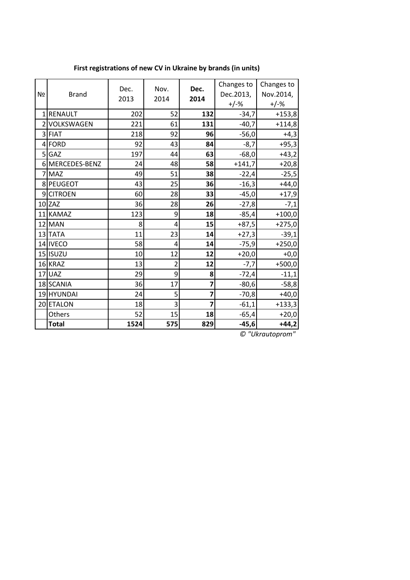| Nº       | <b>Brand</b>    | Dec.<br>2013 | Nov.<br>2014            | Dec.<br>2014   | Changes to<br>Dec.2013,<br>$+/-%$ | Changes to<br>Nov.2014,<br>$+/-%$ |
|----------|-----------------|--------------|-------------------------|----------------|-----------------------------------|-----------------------------------|
| $1\vert$ | <b>RENAULT</b>  | 202          | 52                      | 132            | $-34,7$                           | $+153,8$                          |
|          | 2 VOLKSWAGEN    | 221          | 61                      | 131            | $-40,7$                           | $+114,8$                          |
|          | 3 FIAT          | 218          | 92                      | 96             | $-56,0$                           | $+4,3$                            |
|          | 4 FORD          | 92           | 43                      | 84             | $-8,7$                            | $+95,3$                           |
|          | 5 GAZ           | 197          | 44                      | 63             | $-68,0$                           | $+43,2$                           |
|          | 6 MERCEDES-BENZ | 24           | 48                      | 58             | $+141,7$                          | $+20,8$                           |
|          | 7 MAZ           | 49           | 51                      | 38             | $-22,4$                           | $-25,5$                           |
|          | 8 PEUGEOT       | 43           | 25                      | 36             | $-16,3$                           | $+44,0$                           |
|          | 9CITROEN        | 60           | 28                      | 33             | $-45,0$                           | $+17,9$                           |
|          | $10$ ZAZ        | 36           | 28                      | 26             | $-27,8$                           | $-7,1$                            |
|          | 11 KAMAZ        | 123          | 9                       | 18             | $-85,4$                           | $+100,0$                          |
|          | $12$ MAN        | 8            | 4                       | 15             | $+87,5$                           | $+275,0$                          |
|          | 13 TATA         | 11           | 23                      | 14             | $+27,3$                           | $-39,1$                           |
|          | 14 IVECO        | 58           | 4                       | 14             | $-75,9$                           | $+250,0$                          |
|          | 15 ISUZU        | 10           | 12                      | 12             | $+20,0$                           | $+0,0$                            |
|          | 16 KRAZ         | 13           | $\overline{\mathbf{c}}$ | 12             | $-7,7$                            | $+500,0$                          |
|          | $17$ UAZ        | 29           | 9                       | 8              | $-72,4$                           | $-11,1$                           |
|          | 18 SCANIA       | 36           | 17                      | 7              | $-80,6$                           | $-58,8$                           |
|          | 19 HYUNDAI      | 24           | 5                       | 7              | $-70,8$                           | $+40,0$                           |
|          | 20 ETALON       | 18           | 3                       | $\overline{7}$ | $-61,1$                           | $+133,3$                          |
|          | Others          | 52           | 15                      | 18             | $-65,4$                           | $+20,0$                           |
|          | <b>Total</b>    | 1524         | 575                     | 829            | $-45,6$                           | $+44,2$                           |

**First registrations of new CV in Ukraine by brands (in units)**

*© "Ukrautoprom"*